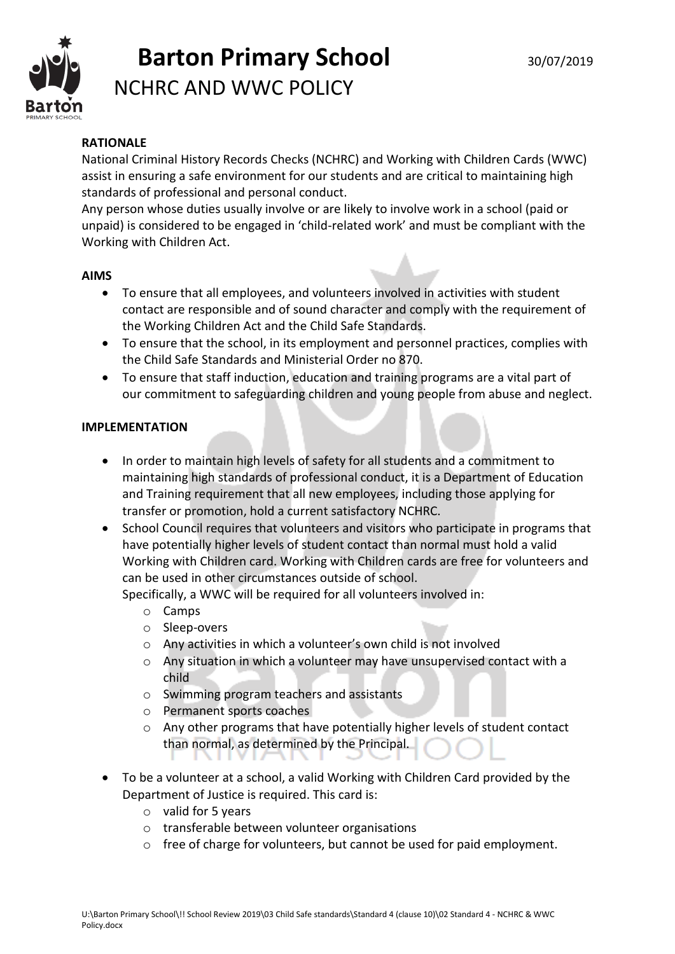

### **RATIONALE**

National Criminal History Records Checks (NCHRC) and Working with Children Cards (WWC) assist in ensuring a safe environment for our students and are critical to maintaining high standards of professional and personal conduct.

Any person whose duties usually involve or are likely to involve work in a school (paid or unpaid) is considered to be engaged in 'child-related work' and must be compliant with the Working with Children Act.

### **AIMS**

- To ensure that all employees, and volunteers involved in activities with student contact are responsible and of sound character and comply with the requirement of the Working Children Act and the Child Safe Standards.
- To ensure that the school, in its employment and personnel practices, complies with the Child Safe Standards and Ministerial Order no 870.
- To ensure that staff induction, education and training programs are a vital part of our commitment to safeguarding children and young people from abuse and neglect.

### **IMPLEMENTATION**

- In order to maintain high levels of safety for all students and a commitment to maintaining high standards of professional conduct, it is a Department of Education and Training requirement that all new employees, including those applying for transfer or promotion, hold a current satisfactory NCHRC.
- School Council requires that volunteers and visitors who participate in programs that have potentially higher levels of student contact than normal must hold a valid Working with Children card. Working with Children cards are free for volunteers and can be used in other circumstances outside of school.

Specifically, a WWC will be required for all volunteers involved in:

- o Camps
- o Sleep-overs
- o Any activities in which a volunteer's own child is not involved
- o Any situation in which a volunteer may have unsupervised contact with a child
- o Swimming program teachers and assistants
- o Permanent sports coaches
- $\circ$  Any other programs that have potentially higher levels of student contact than normal, as determined by the Principal.
- To be a volunteer at a school, a valid Working with Children Card provided by the Department of Justice is required. This card is:
	- o valid for 5 years
	- o transferable between volunteer organisations
	- o free of charge for volunteers, but cannot be used for paid employment.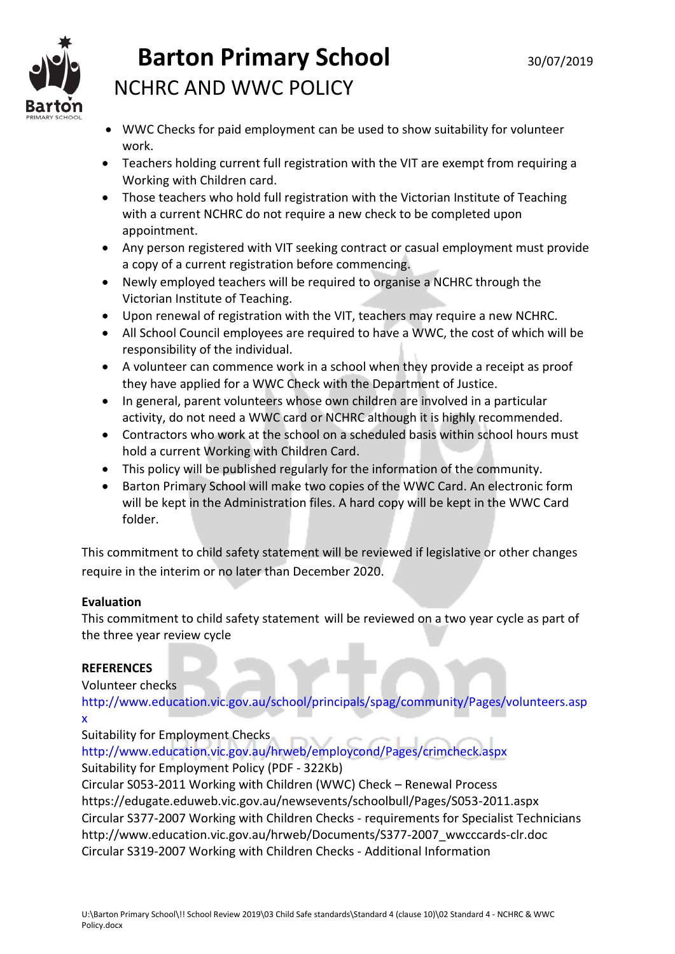

- WWC Checks for paid employment can be used to show suitability for volunteer work.
- Teachers holding current full registration with the VIT are exempt from requiring a Working with Children card.
- Those teachers who hold full registration with the Victorian Institute of Teaching with a current NCHRC do not require a new check to be completed upon appointment.
- Any person registered with VIT seeking contract or casual employment must provide a copy of a current registration before commencing.
- Newly employed teachers will be required to organise a NCHRC through the Victorian Institute of Teaching.
- Upon renewal of registration with the VIT, teachers may require a new NCHRC.
- All School Council employees are required to have a WWC, the cost of which will be responsibility of the individual.
- A volunteer can commence work in a school when they provide a receipt as proof they have applied for a WWC Check with the Department of Justice.
- In general, parent volunteers whose own children are involved in a particular activity, do not need a WWC card or NCHRC although it is highly recommended.
- Contractors who work at the school on a scheduled basis within school hours must hold a current Working with Children Card.
- This policy will be published regularly for the information of the community.
- Barton Primary School will make two copies of the WWC Card. An electronic form will be kept in the Administration files. A hard copy will be kept in the WWC Card folder.

This commitment to child safety statement will be reviewed if legislative or other changes require in the interim or no later than December 2020.

### **Evaluation**

This commitment to child safety statement will be reviewed on a two year cycle as part of the three year review cycle

### **REFERENCES**

Volunteer checks

http://www.education.vic.gov.au/school/principals/spag/community/Pages/volunteers.asp x

Suitability for Employment Checks

http://www.education.vic.gov.au/hrweb/employcond/Pages/crimcheck.aspx Suitability for Employment Policy (PDF - 322Kb)

Circular S053-2011 Working with Children (WWC) Check – Renewal Process https://edugate.eduweb.vic.gov.au/newsevents/schoolbull/Pages/S053-2011.aspx Circular S377-2007 Working with Children Checks - requirements for Specialist Technicians http://www.education.vic.gov.au/hrweb/Documents/S377-2007\_wwcccards-clr.doc Circular S319-2007 Working with Children Checks - Additional Information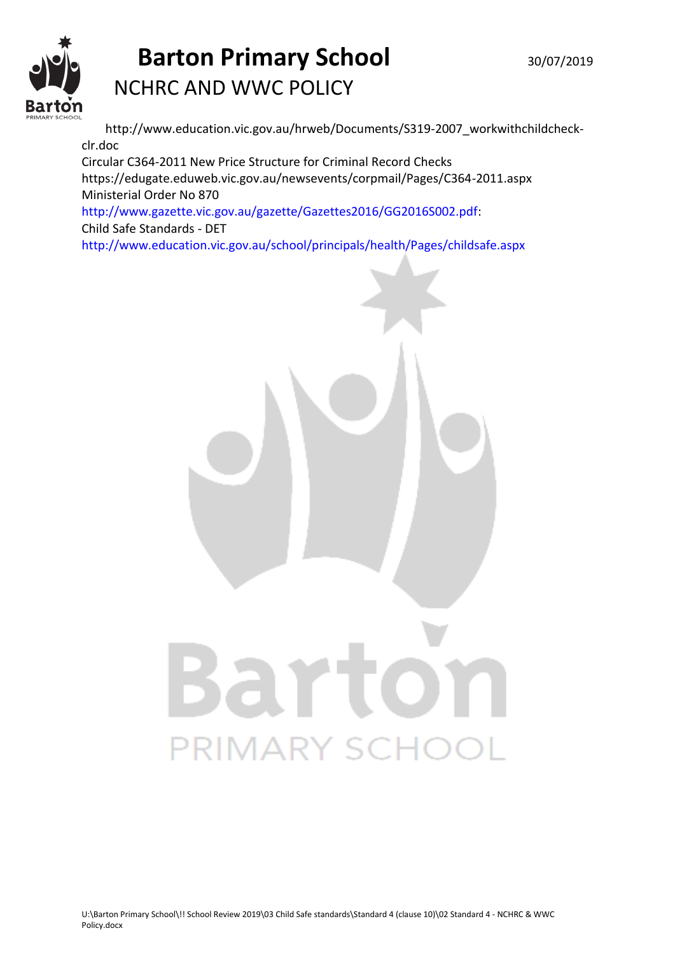

http://www.education.vic.gov.au/hrweb/Documents/S319-2007\_workwithchildcheckclr.doc Circular C364-2011 New Price Structure for Criminal Record Checks https://edugate.eduweb.vic.gov.au/newsevents/corpmail/Pages/C364-2011.aspx Ministerial Order No 870

http://www.gazette.vic.gov.au/gazette/Gazettes2016/GG2016S002.pdf: Child Safe Standards - DET

http://www.education.vic.gov.au/school/principals/health/Pages/childsafe.aspx

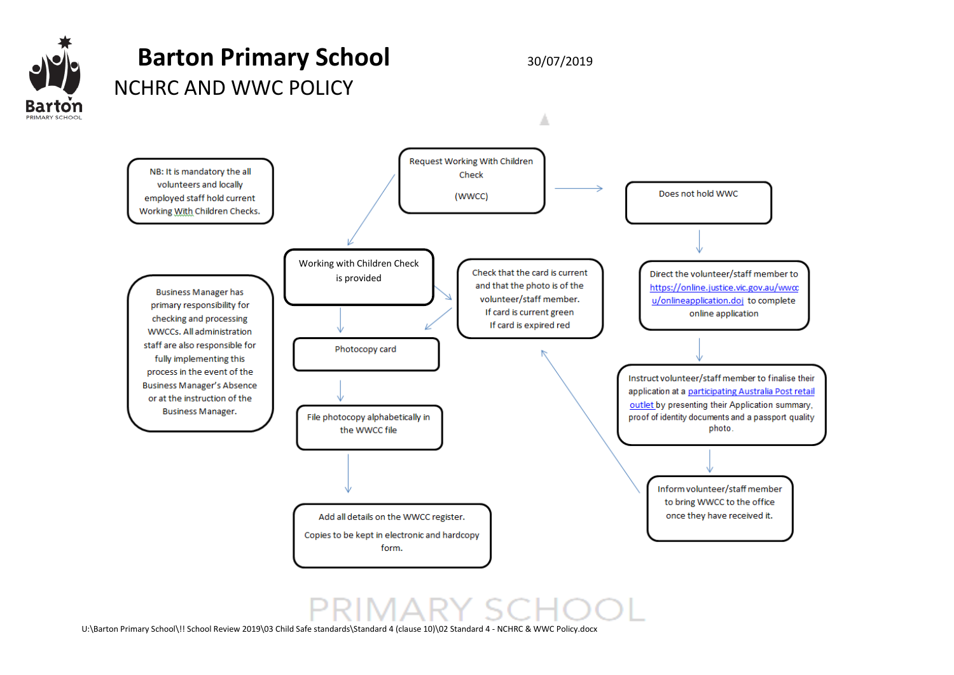



U:\Barton Primary School\!! School Review 2019\03 Child Safe standards\Standard 4 (clause 10)\02 Standard 4 - NCHRC & WWC Policy.docx